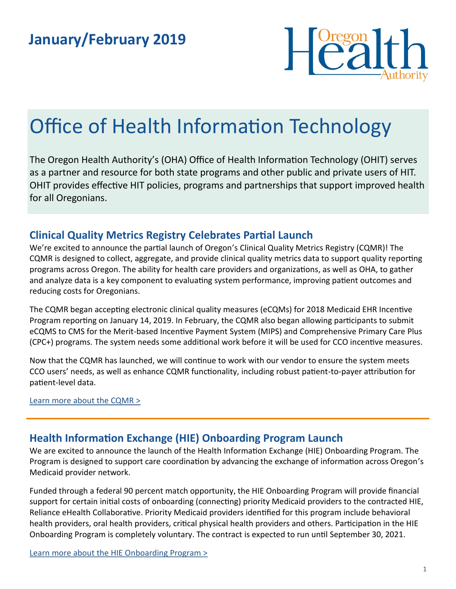

# Office of Health Information Technology

The Oregon Health Authority's (OHA) Office of Health Information Technology (OHIT) serves as a partner and resource for both state programs and other public and private users of HIT. OHIT provides effective HIT policies, programs and partnerships that support improved health for all Oregonians.

#### **Clinical Quality Metrics Registry Celebrates Partial Launch**

We're excited to announce the partial launch of Oregon's Clinical Quality Metrics Registry (CQMR)! The CQMR is designed to collect, aggregate, and provide clinical quality metrics data to support quality reporting programs across Oregon. The ability for health care providers and organizations, as well as OHA, to gather and analyze data is a key component to evaluating system performance, improving patient outcomes and reducing costs for Oregonians.

The CQMR began accepting electronic clinical quality measures (eCQMs) for 2018 Medicaid EHR Incentive Program reporting on January 14, 2019. In February, the CQMR also began allowing participants to submit eCQMS to CMS for the Merit-based Incentive Payment System (MIPS) and Comprehensive Primary Care Plus (CPC+) programs. The system needs some additional work before it will be used for CCO incentive measures.

Now that the CQMR has launched, we will continue to work with our vendor to ensure the system meets CCO users' needs, as well as enhance CQMR functionality, including robust patient-to-payer attribution for patient-level data.

Learn more about the CQMR >

#### **Health Information Exchange (HIE) Onboarding Program Launch**

We are excited to announce the launch of the Health Information Exchange (HIE) Onboarding Program. The Program is designed to support care coordination by advancing the exchange of information across Oregon's Medicaid provider network.

Funded through a federal 90 percent match opportunity, the HIE Onboarding Program will provide financial support for certain initial costs of onboarding (connecting) priority Medicaid providers to the contracted HIE, Reliance eHealth Collaborative. Priority Medicaid providers identified for this program include behavioral health providers, oral health providers, critical physical health providers and others. Participation in the HIE Onboarding Program is completely voluntary. The contract is expected to run until September 30, 2021.

[Learn more about the HIE Onboarding Program >](https://www.oregon.gov/oha/HPA/OHIT/Pages/HIE-onboarding.aspx)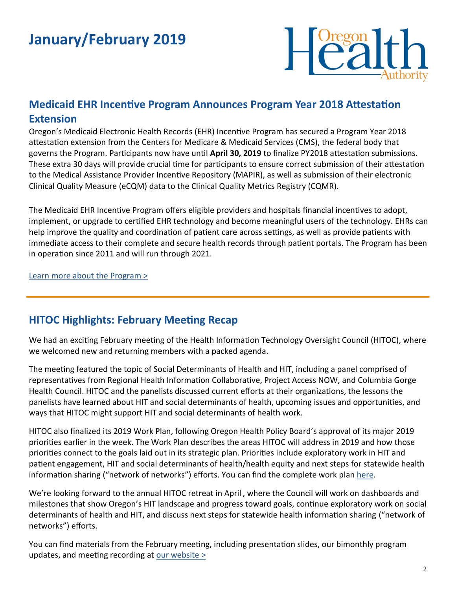## **January/February 2019**



#### **Medicaid EHR Incentive Program Announces Program Year 2018 Attestation Extension**

Oregon's Medicaid Electronic Health Records (EHR) Incentive Program has secured a Program Year 2018 attestation extension from the Centers for Medicare & Medicaid Services (CMS), the federal body that governs the Program. Participants now have until **April 30, 2019** to finalize PY2018 attestation submissions. These extra 30 days will provide crucial time for participants to ensure correct submission of their attestation to the Medical Assistance Provider Incentive Repository ([MAPIR\),](https://www.or-medicaid.gov/ProdPortal/) as well as submission of their electronic Clinical Quality Measure (eCQM) data to the Clinical Quality Metrics Registry ([CQMR\)](https://www.oregon.gov/oha/HPA/OHIT/Pages/CQMR.aspx).

The Medicaid EHR Incentive Program offers eligible providers and hospitals financial incentives to adopt, implement, or upgrade to certified EHR technology and become meaningful users of the technology. EHRs can help improve the quality and coordination of patient care across settings, as well as provide patients with immediate access to their complete and secure health records through patient portals. The Program has been in operation since 2011 and will run through 2021.

[Learn more about the Program >](https://www.oregon.gov/oha/HPA/OHIT-MEHRIP/Pages/index.aspx)

#### **HITOC Highlights: February Meeting Recap**

We had an exciting February meeting of the Health Information Technology Oversight Council (HITOC), where we welcomed new and returning members with a packed agenda.

The meeting featured the topic of Social Determinants of Health and HIT, including a panel comprised of representatives from Regional Health Information Collaborative, Project Access NOW, and Columbia Gorge Health Council. HITOC and the panelists discussed current efforts at their organizations, the lessons the panelists have learned about HIT and social determinants of health, upcoming issues and opportunities, and ways that HITOC might support HIT and social determinants of health work.

HITOC also finalized its 2019 Work Plan, following Oregon Health Policy Board's approval of its major 2019 priorities earlier in the week. The Work Plan describes the areas HITOC will address in 2019 and how those priorities connect to the goals laid out in its strategic plan. Priorities include exploratory work in HIT and patient engagement, HIT and social determinants of health/health equity and next steps for statewide health information sharing ("network of networks") efforts. You can find the complete work plan [here.](https://www.oregon.gov/oha/HPA/OHIT-HITOC/Documents/HITOC2019WorkPlan_FinalApproved.pdf) 

We're looking forward to the annual HITOC retreat in April , where the Council will work on dashboards and milestones that show Oregon's HIT landscape and progress toward goals, continue exploratory work on social determinants of health and HIT, and discuss next steps for statewide health information sharing ("network of networks") efforts.

You can find materials from the February meeting, including presentation slides, our bimonthly program updates, and meeting recording at our website  $\geq$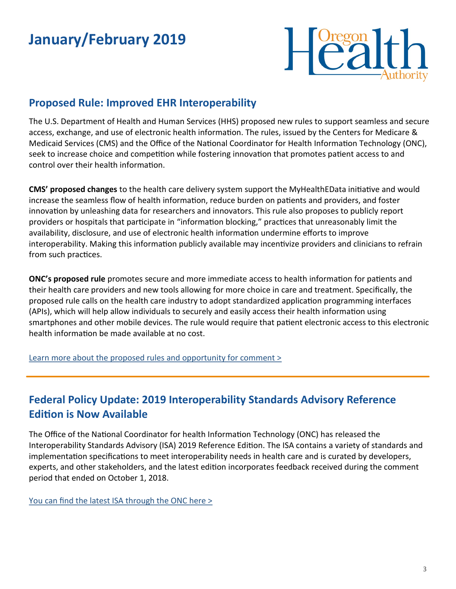## **January/February 2019**



#### **Proposed Rule: Improved EHR Interoperability**

The U.S. Department of Health and Human Services (HHS) proposed new rules to support seamless and secure access, exchange, and use of electronic health information. The rules, issued by the Centers for Medicare & Medicaid Services (CMS) and the Office of the National Coordinator for Health Information Technology (ONC), seek to increase choice and competition while fostering innovation that promotes patient access to and control over their health information.

**CMS' proposed changes** to the health care delivery system support the MyHealthEData initiative and would increase the seamless flow of health information, reduce burden on patients and providers, and foster innovation by unleashing data for researchers and innovators. This rule also proposes to publicly report providers or hospitals that participate in "information blocking," practices that unreasonably limit the availability, disclosure, and use of electronic health information undermine efforts to improve interoperability. Making this information publicly available may incentivize providers and clinicians to refrain from such practices.

**ONC's proposed rule** promotes secure and more immediate access to health information for patients and their health care providers and new tools allowing for more choice in care and treatment. Specifically, the proposed rule calls on the health care industry to adopt standardized application programming interfaces (APIs), which will help allow individuals to securely and easily access their health information using smartphones and other mobile devices. The rule would require that patient electronic access to this electronic health information be made available at no cost.

[Learn more about the proposed rules and opportunity for comment >](https://www.hhs.gov/about/news/2019/02/11/hhs-proposes-new-rules-improve-interoperability-electronic-health-information.html)

#### **Federal Policy Update: 2019 Interoperability Standards Advisory Reference Edition is Now Available**

The Office of the National Coordinator for health Information Technology (ONC) has released the Interoperability Standards Advisory (ISA) 2019 Reference Edition. The ISA contains a variety of standards and implementation specifications to meet interoperability needs in health care and is curated by developers, experts, and other stakeholders, and the latest edition incorporates feedback received during the comment period that ended on October 1, 2018.

[You can find the latest ISA through the ONC here >](https://www.healthit.gov/buzz-blog/health-it/the-2019-interoperability-standards-advisory-reference-edition-is-now-available)